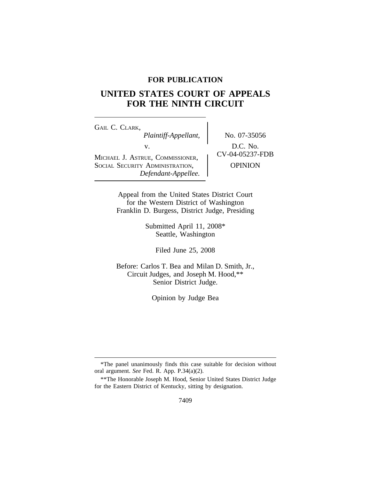# **FOR PUBLICATION**

# **UNITED STATES COURT OF APPEALS FOR THE NINTH CIRCUIT**

<sup>G</sup>AIL C. CLARK, *Plaintiff-Appellant,* No. 07-35056 v.  $D.C. No.$ <br>  $CV-04-05237-FDB$ MICHAEL J. ASTRUE, COMMISSIONER, SOCIAL SECURITY ADMINISTRATION, **OPINION** *Defendant-Appellee.*

Appeal from the United States District Court for the Western District of Washington Franklin D. Burgess, District Judge, Presiding

> Submitted April 11, 2008\* Seattle, Washington

> > Filed June 25, 2008

Before: Carlos T. Bea and Milan D. Smith, Jr., Circuit Judges, and Joseph M. Hood,\*\* Senior District Judge.

Opinion by Judge Bea

<sup>\*</sup>The panel unanimously finds this case suitable for decision without oral argument. *See* Fed. R. App. P.34(a)(2).

<sup>\*\*</sup>The Honorable Joseph M. Hood, Senior United States District Judge for the Eastern District of Kentucky, sitting by designation.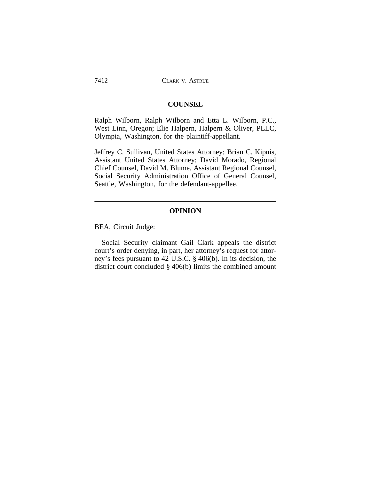### **COUNSEL**

Ralph Wilborn, Ralph Wilborn and Etta L. Wilborn, P.C., West Linn, Oregon; Elie Halpern, Halpern & Oliver, PLLC, Olympia, Washington, for the plaintiff-appellant.

Jeffrey C. Sullivan, United States Attorney; Brian C. Kipnis, Assistant United States Attorney; David Morado, Regional Chief Counsel, David M. Blume, Assistant Regional Counsel, Social Security Administration Office of General Counsel, Seattle, Washington, for the defendant-appellee.

### **OPINION**

BEA, Circuit Judge:

Social Security claimant Gail Clark appeals the district court's order denying, in part, her attorney's request for attorney's fees pursuant to 42 U.S.C. § 406(b). In its decision, the district court concluded § 406(b) limits the combined amount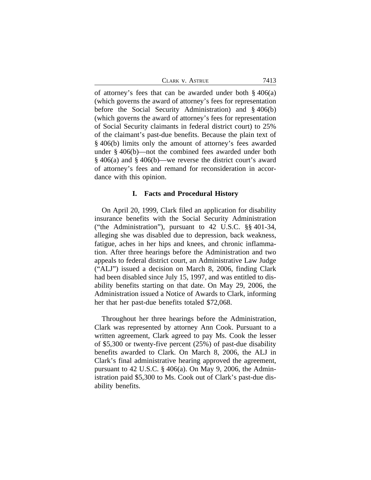CLARK V. ASTRUE 7413

of attorney's fees that can be awarded under both § 406(a) (which governs the award of attorney's fees for representation before the Social Security Administration) and § 406(b) (which governs the award of attorney's fees for representation of Social Security claimants in federal district court) to 25% of the claimant's past-due benefits. Because the plain text of § 406(b) limits only the amount of attorney's fees awarded under § 406(b)—not the combined fees awarded under both § 406(a) and § 406(b)—we reverse the district court's award of attorney's fees and remand for reconsideration in accordance with this opinion.

#### **I. Facts and Procedural History**

On April 20, 1999, Clark filed an application for disability insurance benefits with the Social Security Administration ("the Administration"), pursuant to 42 U.S.C. §§ 401-34, alleging she was disabled due to depression, back weakness, fatigue, aches in her hips and knees, and chronic inflammation. After three hearings before the Administration and two appeals to federal district court, an Administrative Law Judge ("ALJ") issued a decision on March 8, 2006, finding Clark had been disabled since July 15, 1997, and was entitled to disability benefits starting on that date. On May 29, 2006, the Administration issued a Notice of Awards to Clark, informing her that her past-due benefits totaled \$72,068.

Throughout her three hearings before the Administration, Clark was represented by attorney Ann Cook. Pursuant to a written agreement, Clark agreed to pay Ms. Cook the lesser of \$5,300 or twenty-five percent (25%) of past-due disability benefits awarded to Clark. On March 8, 2006, the ALJ in Clark's final administrative hearing approved the agreement, pursuant to 42 U.S.C. § 406(a). On May 9, 2006, the Administration paid \$5,300 to Ms. Cook out of Clark's past-due disability benefits.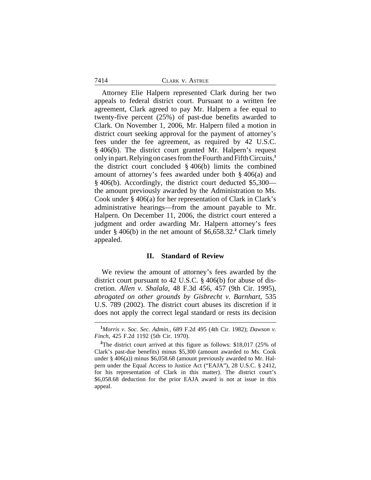#### 7414 CLARK v. ASTRUE

Attorney Elie Halpern represented Clark during her two appeals to federal district court. Pursuant to a written fee agreement, Clark agreed to pay Mr. Halpern a fee equal to twenty-five percent (25%) of past-due benefits awarded to Clark. On November 1, 2006, Mr. Halpern filed a motion in district court seeking approval for the payment of attorney's fees under the fee agreement, as required by 42 U.S.C. § 406(b). The district court granted Mr. Halpern's request only in part. Relying on cases from the Fourth and Fifth Circuits,**<sup>1</sup>** the district court concluded § 406(b) limits the combined amount of attorney's fees awarded under both § 406(a) and § 406(b). Accordingly, the district court deducted \$5,300 the amount previously awarded by the Administration to Ms. Cook under § 406(a) for her representation of Clark in Clark's administrative hearings—from the amount payable to Mr. Halpern. On December 11, 2006, the district court entered a judgment and order awarding Mr. Halpern attorney's fees under § 406(b) in the net amount of \$6,658.32.**<sup>2</sup>** Clark timely appealed.

#### **II. Standard of Review**

We review the amount of attorney's fees awarded by the district court pursuant to 42 U.S.C. § 406(b) for abuse of discretion. *Allen v. Shalala*, 48 F.3d 456, 457 (9th Cir. 1995), *abrogated on other grounds by Gisbrecht v. Barnhart*, 535 U.S. 789 (2002). The district court abuses its discretion if it does not apply the correct legal standard or rests its decision

**<sup>1</sup>***Morris v. Soc. Sec. Admin.*, 689 F.2d 495 (4th Cir. 1982); *Dawson v. Finch*, 425 F.2d 1192 (5th Cir. 1970).

**<sup>2</sup>**The district court arrived at this figure as follows: \$18,017 (25% of Clark's past-due benefits) minus \$5,300 (amount awarded to Ms. Cook under  $\S$  406(a)) minus  $\S$ 6,058.68 (amount previously awarded to Mr. Halpern under the Equal Access to Justice Act ("EAJA"), 28 U.S.C. § 2412, for his representation of Clark in this matter). The district court's \$6,058.68 deduction for the prior EAJA award is not at issue in this appeal.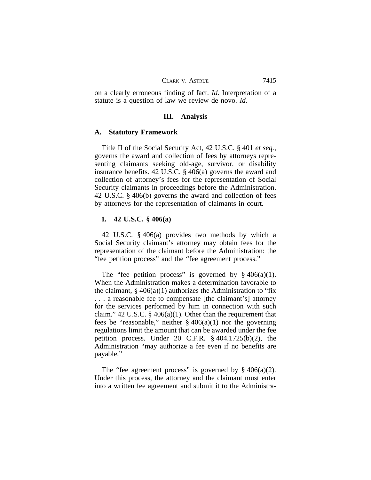on a clearly erroneous finding of fact. *Id.* Interpretation of a statute is a question of law we review de novo. *Id.*

#### **III. Analysis**

#### **A. Statutory Framework**

Title II of the Social Security Act, 42 U.S.C. § 401 *et seq.*, governs the award and collection of fees by attorneys representing claimants seeking old-age, survivor, or disability insurance benefits. 42 U.S.C. § 406(a) governs the award and collection of attorney's fees for the representation of Social Security claimants in proceedings before the Administration. 42 U.S.C. § 406(b) governs the award and collection of fees by attorneys for the representation of claimants in court.

### **1. 42 U.S.C. § 406(a)**

42 U.S.C. § 406(a) provides two methods by which a Social Security claimant's attorney may obtain fees for the representation of the claimant before the Administration: the "fee petition process" and the "fee agreement process."

The "fee petition process" is governed by  $§$  406(a)(1). When the Administration makes a determination favorable to the claimant,  $\S 406(a)(1)$  authorizes the Administration to "fix" . . . a reasonable fee to compensate [the claimant's] attorney for the services performed by him in connection with such claim." 42 U.S.C.  $\S$  406(a)(1). Other than the requirement that fees be "reasonable," neither  $\S 406(a)(1)$  nor the governing regulations limit the amount that can be awarded under the fee petition process. Under 20 C.F.R. § 404.1725(b)(2), the Administration "may authorize a fee even if no benefits are payable."

The "fee agreement process" is governed by  $\S 406(a)(2)$ . Under this process, the attorney and the claimant must enter into a written fee agreement and submit it to the Administra-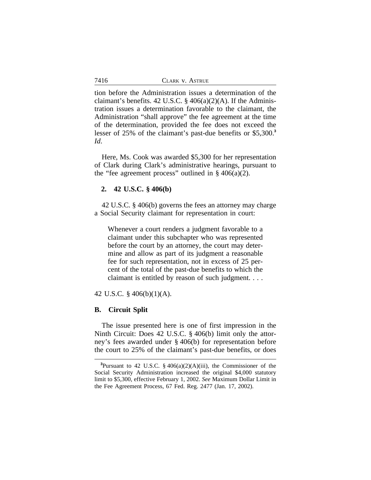tion before the Administration issues a determination of the claimant's benefits. 42 U.S.C.  $\S$  406(a)(2)(A). If the Administration issues a determination favorable to the claimant, the Administration "shall approve" the fee agreement at the time of the determination, provided the fee does not exceed the lesser of 25% of the claimant's past-due benefits or \$5,300.**<sup>3</sup>** *Id*.

Here, Ms. Cook was awarded \$5,300 for her representation of Clark during Clark's administrative hearings, pursuant to the "fee agreement process" outlined in  $\S$  406(a)(2).

#### **2. 42 U.S.C. § 406(b)**

42 U.S.C. § 406(b) governs the fees an attorney may charge a Social Security claimant for representation in court:

Whenever a court renders a judgment favorable to a claimant under this subchapter who was represented before the court by an attorney, the court may determine and allow as part of its judgment a reasonable fee for such representation, not in excess of 25 percent of the total of the past-due benefits to which the claimant is entitled by reason of such judgment. . . .

42 U.S.C. § 406(b)(1)(A).

## **B. Circuit Split**

The issue presented here is one of first impression in the Ninth Circuit: Does 42 U.S.C. § 406(b) limit only the attorney's fees awarded under § 406(b) for representation before the court to 25% of the claimant's past-due benefits, or does

**<sup>3</sup>**Pursuant to 42 U.S.C. § 406(a)(2)(A)(iii), the Commissioner of the Social Security Administration increased the original \$4,000 statutory limit to \$5,300, effective February 1, 2002. *See* Maximum Dollar Limit in the Fee Agreement Process, 67 Fed. Reg. 2477 (Jan. 17, 2002).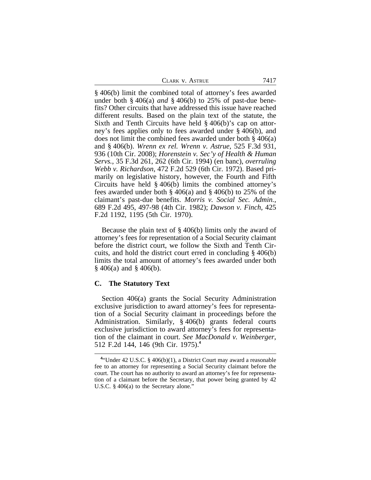| CLARK V. ASTRUE | 7417 |
|-----------------|------|
|-----------------|------|

§ 406(b) limit the combined total of attorney's fees awarded under both § 406(a) *and* § 406(b) to 25% of past-due benefits? Other circuits that have addressed this issue have reached different results. Based on the plain text of the statute, the Sixth and Tenth Circuits have held § 406(b)'s cap on attorney's fees applies only to fees awarded under § 406(b), and does not limit the combined fees awarded under both § 406(a) and § 406(b). *Wrenn ex rel. Wrenn v. Astrue,* 525 F.3d 931, 936 (10th Cir. 2008); *Horenstein v. Sec'y of Health & Human Servs.*, 35 F.3d 261, 262 (6th Cir. 1994) (en banc), *overruling Webb v. Richardson*, 472 F.2d 529 (6th Cir. 1972). Based primarily on legislative history, however, the Fourth and Fifth Circuits have held § 406(b) limits the combined attorney's fees awarded under both § 406(a) and § 406(b) to 25% of the claimant's past-due benefits. *Morris v. Social Sec. Admin.*, 689 F.2d 495, 497-98 (4th Cir. 1982); *Dawson v. Finch*, 425 F.2d 1192, 1195 (5th Cir. 1970).

Because the plain text of § 406(b) limits only the award of attorney's fees for representation of a Social Security claimant before the district court, we follow the Sixth and Tenth Circuits, and hold the district court erred in concluding § 406(b) limits the total amount of attorney's fees awarded under both  $§$  406(a) and  $§$  406(b).

### **C. The Statutory Text**

Section 406(a) grants the Social Security Administration exclusive jurisdiction to award attorney's fees for representation of a Social Security claimant in proceedings before the Administration. Similarly, § 406(b) grants federal courts exclusive jurisdiction to award attorney's fees for representation of the claimant in court. *See MacDonald v. Weinberger*, 512 F.2d 144, 146 (9th Cir. 1975).**<sup>4</sup>**

**<sup>4</sup>** "Under 42 U.S.C. § 406(b)(1), a District Court may award a reasonable fee to an attorney for representing a Social Security claimant before the court. The court has no authority to award an attorney's fee for representation of a claimant before the Secretary, that power being granted by 42 U.S.C. § 406(a) to the Secretary alone.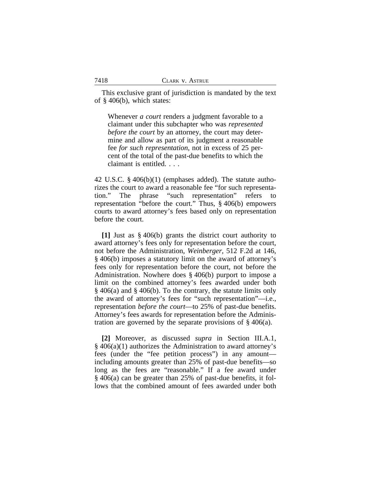This exclusive grant of jurisdiction is mandated by the text of § 406(b), which states:

Whenever *a court* renders a judgment favorable to a claimant under this subchapter who was *represented before the court* by an attorney, the court may determine and allow as part of its judgment a reasonable fee *for such representation*, not in excess of 25 percent of the total of the past-due benefits to which the claimant is entitled. . . .

42 U.S.C. § 406(b)(1) (emphases added). The statute authorizes the court to award a reasonable fee "for such representation." The phrase "such representation" refers to representation "before the court." Thus, § 406(b) empowers courts to award attorney's fees based only on representation before the court.

**[1]** Just as § 406(b) grants the district court authority to award attorney's fees only for representation before the court, not before the Administration, *Weinberger*, 512 F.2d at 146, § 406(b) imposes a statutory limit on the award of attorney's fees only for representation before the court, not before the Administration. Nowhere does § 406(b) purport to impose a limit on the combined attorney's fees awarded under both § 406(a) and § 406(b). To the contrary, the statute limits only the award of attorney's fees for "such representation"—i.e., representation *before the court*—to 25% of past-due benefits. Attorney's fees awards for representation before the Administration are governed by the separate provisions of § 406(a).

**[2]** Moreover, as discussed *supra* in Section III.A.1,  $\S$  406(a)(1) authorizes the Administration to award attorney's fees (under the "fee petition process") in any amount including amounts greater than 25% of past-due benefits—so long as the fees are "reasonable." If a fee award under § 406(a) can be greater than 25% of past-due benefits, it follows that the combined amount of fees awarded under both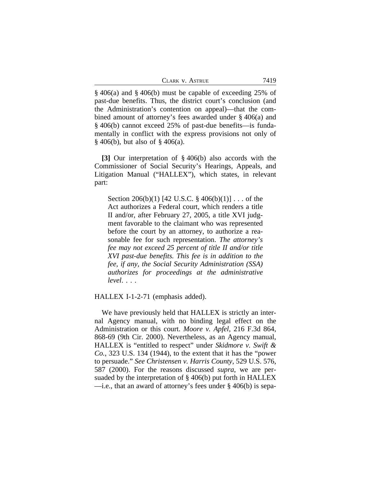| CLARK V. ASTRUE | 7419 |
|-----------------|------|
|-----------------|------|

§ 406(a) and § 406(b) must be capable of exceeding 25% of past-due benefits. Thus, the district court's conclusion (and the Administration's contention on appeal)—that the combined amount of attorney's fees awarded under § 406(a) and § 406(b) cannot exceed 25% of past-due benefits—is fundamentally in conflict with the express provisions not only of § 406(b), but also of § 406(a).

**[3]** Our interpretation of § 406(b) also accords with the Commissioner of Social Security's Hearings, Appeals, and Litigation Manual ("HALLEX"), which states, in relevant part:

Section 206(b)(1) [42 U.S.C. § 406(b)(1)] . . . of the Act authorizes a Federal court, which renders a title II and/or, after February 27, 2005, a title XVI judgment favorable to the claimant who was represented before the court by an attorney, to authorize a reasonable fee for such representation. *The attorney's fee may not exceed 25 percent of title II and/or title XVI past-due benefits. This fee is in addition to the fee, if any, the Social Security Administration (SSA) authorizes for proceedings at the administrative level*. . . .

HALLEX I-1-2-71 (emphasis added).

We have previously held that HALLEX is strictly an internal Agency manual, with no binding legal effect on the Administration or this court. *Moore v. Apfel*, 216 F.3d 864, 868-69 (9th Cir. 2000). Nevertheless, as an Agency manual, HALLEX is "entitled to respect" under *Skidmore v. Swift & Co.*, 323 U.S. 134 (1944), to the extent that it has the "power to persuade." *See Christensen v. Harris County*, 529 U.S. 576, 587 (2000). For the reasons discussed *supra*, we are persuaded by the interpretation of § 406(b) put forth in HALLEX —i.e*.*, that an award of attorney's fees under § 406(b) is sepa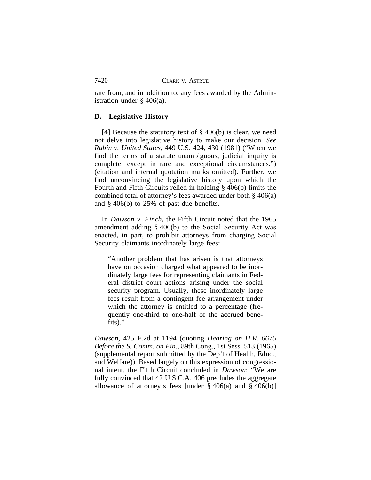rate from, and in addition to, any fees awarded by the Administration under § 406(a).

### **D. Legislative History**

**[4]** Because the statutory text of § 406(b) is clear, we need not delve into legislative history to make our decision. *See Rubin v. United States*, 449 U.S. 424, 430 (1981) ("When we find the terms of a statute unambiguous, judicial inquiry is complete, except in rare and exceptional circumstances.") (citation and internal quotation marks omitted). Further, we find unconvincing the legislative history upon which the Fourth and Fifth Circuits relied in holding § 406(b) limits the combined total of attorney's fees awarded under both § 406(a) and § 406(b) to 25% of past-due benefits.

In *Dawson v. Finch*, the Fifth Circuit noted that the 1965 amendment adding § 406(b) to the Social Security Act was enacted, in part, to prohibit attorneys from charging Social Security claimants inordinately large fees:

"Another problem that has arisen is that attorneys have on occasion charged what appeared to be inordinately large fees for representing claimants in Federal district court actions arising under the social security program. Usually, these inordinately large fees result from a contingent fee arrangement under which the attorney is entitled to a percentage (frequently one-third to one-half of the accrued benefits)."

*Dawson*, 425 F.2d at 1194 (quoting *Hearing on H.R. 6675 Before the S. Comm. on Fin.*, 89th Cong., 1st Sess. 513 (1965) (supplemental report submitted by the Dep't of Health, Educ., and Welfare)). Based largely on this expression of congressional intent, the Fifth Circuit concluded in *Dawson*: "We are fully convinced that 42 U.S.C.A. 406 precludes the aggregate allowance of attorney's fees [under  $\S 406(a)$  and  $\S 406(b)$ ]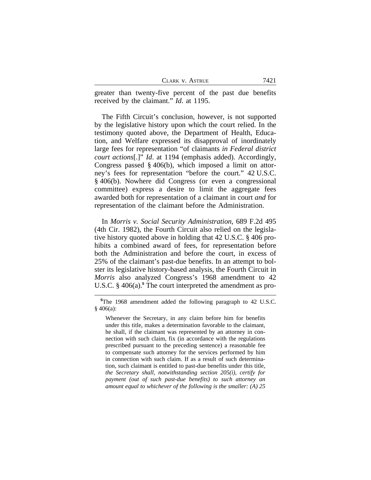7421

greater than twenty-five percent of the past due benefits received by the claimant." *Id*. at 1195.

The Fifth Circuit's conclusion, however, is not supported by the legislative history upon which the court relied. In the testimony quoted above, the Department of Health, Education, and Welfare expressed its disapproval of inordinately large fees for representation "of claimants *in Federal district court actions*[.]" *Id*. at 1194 (emphasis added). Accordingly, Congress passed § 406(b), which imposed a limit on attorney's fees for representation "before the court." 42 U.S.C. § 406(b). Nowhere did Congress (or even a congressional committee) express a desire to limit the aggregate fees awarded both for representation of a claimant in court *and* for representation of the claimant before the Administration.

In *Morris v. Social Security Administration*, 689 F.2d 495 (4th Cir. 1982), the Fourth Circuit also relied on the legislative history quoted above in holding that 42 U.S.C. § 406 prohibits a combined award of fees, for representation before both the Administration and before the court, in excess of 25% of the claimant's past-due benefits. In an attempt to bolster its legislative history-based analysis, the Fourth Circuit in *Morris* also analyzed Congress's 1968 amendment to 42 U.S.C. § 406(a).**<sup>5</sup>** The court interpreted the amendment as pro-

Whenever the Secretary, in any claim before him for benefits under this title, makes a determination favorable to the claimant, he shall, if the claimant was represented by an attorney in connection with such claim, fix (in accordance with the regulations prescribed pursuant to the preceding sentence) a reasonable fee to compensate such attorney for the services performed by him in connection with such claim. If as a result of such determination, such claimant is entitled to past-due benefits under this title, *the Secretary shall, notwithstanding section 205(i), certify for payment (out of such past-due benefits) to such attorney an amount equal to whichever of the following is the smaller: (A) 25*

**<sup>5</sup>**The 1968 amendment added the following paragraph to 42 U.S.C.  $§$  406(a):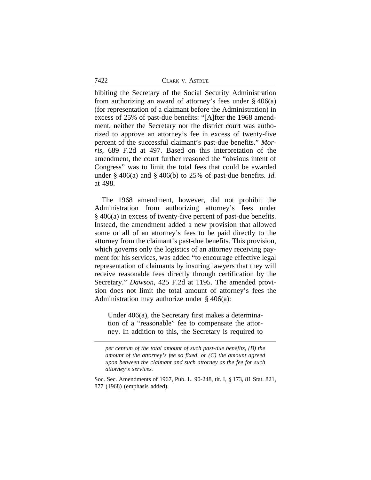| 7422 | CLARK V. ASTRUE |
|------|-----------------|
|      |                 |

hibiting the Secretary of the Social Security Administration from authorizing an award of attorney's fees under  $\S$  406(a) (for representation of a claimant before the Administration) in excess of 25% of past-due benefits: "[A]fter the 1968 amendment, neither the Secretary nor the district court was authorized to approve an attorney's fee in excess of twenty-five percent of the successful claimant's past-due benefits." *Morris*, 689 F.2d at 497. Based on this interpretation of the amendment, the court further reasoned the "obvious intent of Congress" was to limit the total fees that could be awarded under § 406(a) and § 406(b) to 25% of past-due benefits. *Id.* at 498.

The 1968 amendment, however, did not prohibit the Administration from authorizing attorney's fees under § 406(a) in excess of twenty-five percent of past-due benefits. Instead, the amendment added a new provision that allowed some or all of an attorney's fees to be paid directly to the attorney from the claimant's past-due benefits. This provision, which governs only the logistics of an attorney receiving payment for his services, was added "to encourage effective legal representation of claimants by insuring lawyers that they will receive reasonable fees directly through certification by the Secretary." *Dawson*, 425 F.2d at 1195. The amended provision does not limit the total amount of attorney's fees the Administration may authorize under  $\S$  406(a):

Under 406(a), the Secretary first makes a determination of a "reasonable" fee to compensate the attorney. In addition to this, the Secretary is required to

*per centum of the total amount of such past-due benefits, (B) the amount of the attorney's fee so fixed, or (C) the amount agreed upon between the claimant and such attorney as the fee for such attorney's services.*

Soc. Sec. Amendments of 1967, Pub. L. 90-248, tit. I, § 173, 81 Stat. 821, 877 (1968) (emphasis added).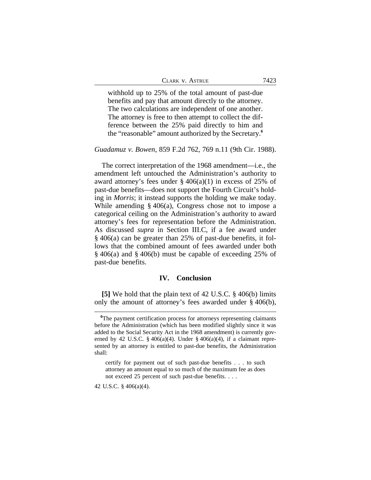| CLARK V. ASTRUE |  |  |
|-----------------|--|--|
|-----------------|--|--|

withhold up to 25% of the total amount of past-due benefits and pay that amount directly to the attorney. The two calculations are independent of one another. The attorney is free to then attempt to collect the difference between the 25% paid directly to him and the "reasonable" amount authorized by the Secretary.**<sup>6</sup>**

### *Guadamuz v. Bowen*, 859 F.2d 762, 769 n.11 (9th Cir. 1988).

The correct interpretation of the 1968 amendment—i.e., the amendment left untouched the Administration's authority to award attorney's fees under  $\S 406(a)(1)$  in excess of 25% of past-due benefits—does not support the Fourth Circuit's holding in *Morris*; it instead supports the holding we make today. While amending  $\S$  406(a), Congress chose not to impose a categorical ceiling on the Administration's authority to award attorney's fees for representation before the Administration. As discussed *supra* in Section III.C, if a fee award under § 406(a) can be greater than 25% of past-due benefits, it follows that the combined amount of fees awarded under both § 406(a) and § 406(b) must be capable of exceeding 25% of past-due benefits.

#### **IV. Conclusion**

**[5]** We hold that the plain text of 42 U.S.C. § 406(b) limits only the amount of attorney's fees awarded under § 406(b),

42 U.S.C. § 406(a)(4).

<sup>&</sup>lt;sup>6</sup>The payment certification process for attorneys representing claimants before the Administration (which has been modified slightly since it was added to the Social Security Act in the 1968 amendment) is currently governed by 42 U.S.C. § 406(a)(4). Under § 406(a)(4), if a claimant represented by an attorney is entitled to past-due benefits, the Administration shall:

certify for payment out of such past-due benefits . . . to such attorney an amount equal to so much of the maximum fee as does not exceed 25 percent of such past-due benefits. . . .